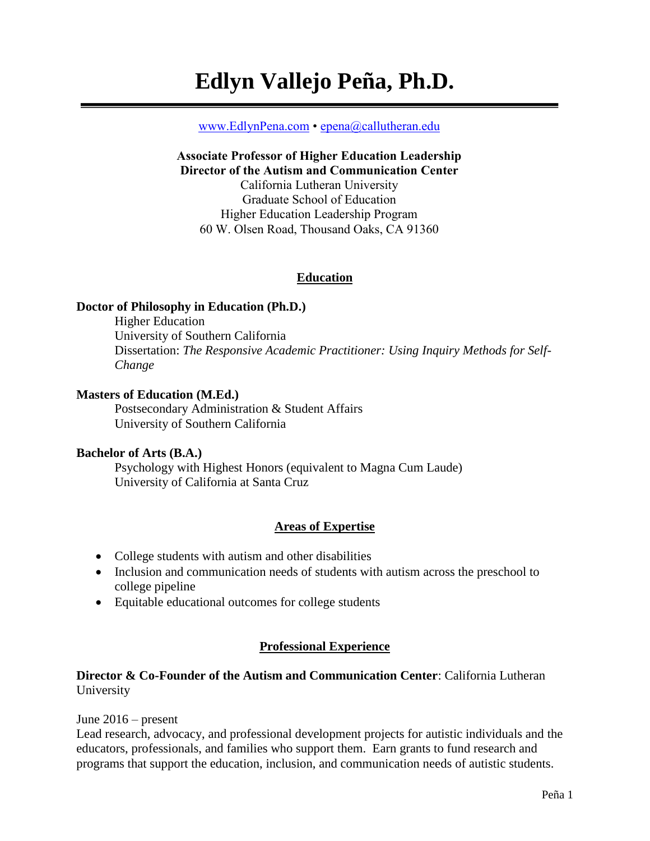# **Edlyn Vallejo Peña, Ph.D.**

#### [www.EdlynPena.com](http://www.edlynpena.com/) • [epena@callutheran.edu](mailto:epena@callutheran.edu)

# **Associate Professor of Higher Education Leadership Director of the Autism and Communication Center** California Lutheran University Graduate School of Education Higher Education Leadership Program 60 W. Olsen Road, Thousand Oaks, CA 91360

#### **Education**

#### **Doctor of Philosophy in Education (Ph.D.)**

Higher Education University of Southern California Dissertation: *The Responsive Academic Practitioner: Using Inquiry Methods for Self-Change*

#### **Masters of Education (M.Ed.)**

Postsecondary Administration & Student Affairs University of Southern California

#### **Bachelor of Arts (B.A.)**

Psychology with Highest Honors (equivalent to Magna Cum Laude) University of California at Santa Cruz

#### **Areas of Expertise**

- College students with autism and other disabilities
- Inclusion and communication needs of students with autism across the preschool to college pipeline
- Equitable educational outcomes for college students

#### **Professional Experience**

#### **Director & Co-Founder of the Autism and Communication Center**: California Lutheran University

#### June 2016 – present

Lead research, advocacy, and professional development projects for autistic individuals and the educators, professionals, and families who support them. Earn grants to fund research and programs that support the education, inclusion, and communication needs of autistic students.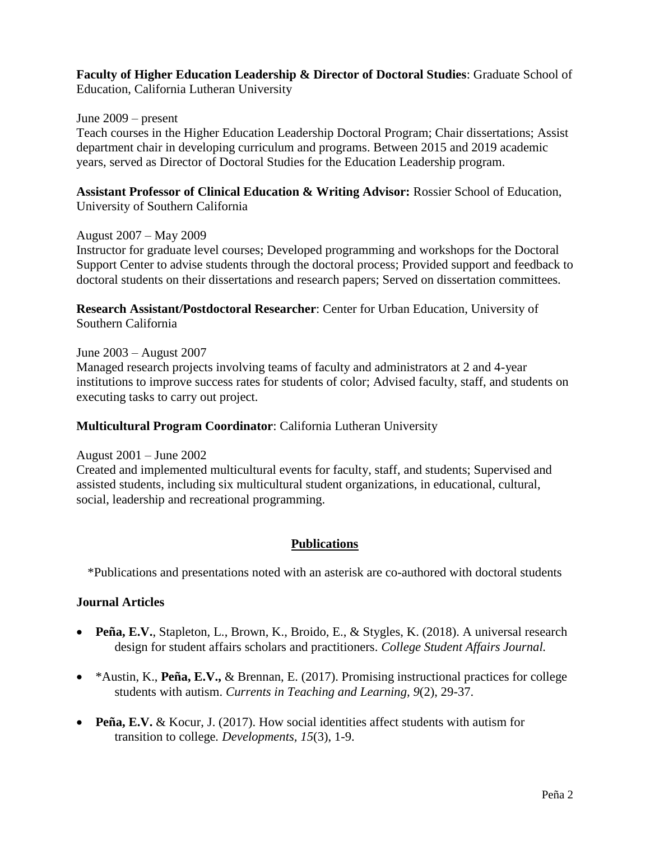# **Faculty of Higher Education Leadership & Director of Doctoral Studies**: Graduate School of

Education, California Lutheran University

#### June 2009 – present

Teach courses in the Higher Education Leadership Doctoral Program; Chair dissertations; Assist department chair in developing curriculum and programs. Between 2015 and 2019 academic years, served as Director of Doctoral Studies for the Education Leadership program.

**Assistant Professor of Clinical Education & Writing Advisor:** Rossier School of Education, University of Southern California

#### August 2007 – May 2009

Instructor for graduate level courses; Developed programming and workshops for the Doctoral Support Center to advise students through the doctoral process; Provided support and feedback to doctoral students on their dissertations and research papers; Served on dissertation committees.

**Research Assistant/Postdoctoral Researcher**: Center for Urban Education, University of Southern California

#### June 2003 – August 2007

Managed research projects involving teams of faculty and administrators at 2 and 4-year institutions to improve success rates for students of color; Advised faculty, staff, and students on executing tasks to carry out project.

#### **Multicultural Program Coordinator**: California Lutheran University

#### August 2001 – June 2002

Created and implemented multicultural events for faculty, staff, and students; Supervised and assisted students, including six multicultural student organizations, in educational, cultural, social, leadership and recreational programming.

## **Publications**

\*Publications and presentations noted with an asterisk are co-authored with doctoral students

#### **Journal Articles**

- **Peña, E.V.**, Stapleton, L., Brown, K., Broido, E., & Stygles, K. (2018). A universal research design for student affairs scholars and practitioners. *College Student Affairs Journal.*
- \*Austin, K., **Peña, E.V.,** & Brennan, E. (2017). Promising instructional practices for college students with autism. *Currents in Teaching and Learning, 9*(2), 29-37.
- **Peña, E.V.** & Kocur, J. (2017). How social identities affect students with autism for transition to college*. Developments, 15*(3), 1-9.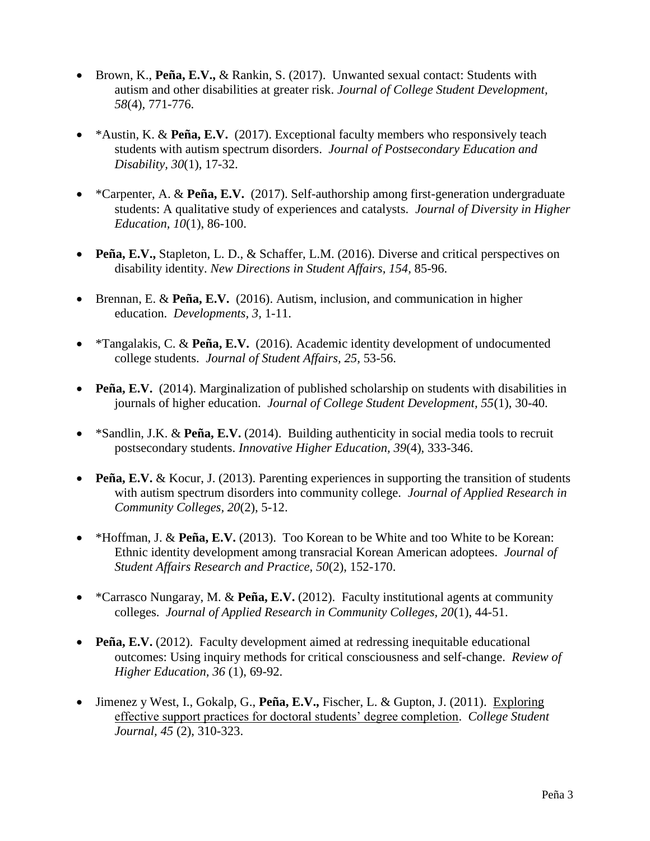- Brown, K., **Peña, E.V.,** & Rankin, S. (2017). Unwanted sexual contact: Students with autism and other disabilities at greater risk. *Journal of College Student Development, 58*(4)*,* 771-776.
- \*Austin, K. & **Peña, E.V.** (2017). Exceptional faculty members who responsively teach students with autism spectrum disorders. *Journal of Postsecondary Education and Disability, 30*(1), 17-32.
- \*Carpenter, A. & **Peña, E.V.** (2017). Self-authorship among first-generation undergraduate students: A qualitative study of experiences and catalysts. *Journal of Diversity in Higher Education, 10*(1), 86-100.
- **Peña, E.V.,** Stapleton, L. D., & Schaffer, L.M. (2016). Diverse and critical perspectives on disability identity. *New Directions in Student Affairs, 154,* 85-96.
- Brennan, E. & **Peña, E.V.** (2016). Autism, inclusion, and communication in higher education. *Developments, 3,* 1-11.
- \*Tangalakis, C. & **Peña, E.V.** (2016). Academic identity development of undocumented college students. *Journal of Student Affairs, 25,* 53-56.
- **Peña, E.V.** (2014). Marginalization of published scholarship on students with disabilities in journals of higher education. *Journal of College Student Development, 55*(1), 30-40.
- \*Sandlin, J.K. & **Peña, E.V.** (2014). Building authenticity in social media tools to recruit postsecondary students. *Innovative Higher Education, 39*(4), 333-346.
- **Peña, E.V.** & Kocur, J. (2013). Parenting experiences in supporting the transition of students with autism spectrum disorders into community college. *Journal of Applied Research in Community Colleges, 20*(2), 5-12.
- \*Hoffman, J. & **Peña, E.V.** (2013). Too Korean to be White and too White to be Korean: Ethnic identity development among transracial Korean American adoptees. *Journal of Student Affairs Research and Practice, 50*(2), 152-170.
- \*Carrasco Nungaray, M. & **Peña, E.V.** (2012). Faculty institutional agents at community colleges. *Journal of Applied Research in Community Colleges, 20*(1), 44-51.
- **Peña, E.V.** (2012). Faculty development aimed at redressing inequitable educational outcomes: Using inquiry methods for critical consciousness and self-change. *Review of Higher Education, 36* (1), 69-92.
- Jimenez y West, I., Gokalp, G., **Peña, E.V.,** Fischer, L. & Gupton, J. (2011). [Exploring](http://convention2.allacademic.com/one/aera/aera09/index.php?click_key=1&cmd=Multi+Search+Search+Load+Publication&publication_id=289668&PHPSESSID=44cf09252e889dcb98bf1f2c11066354)  [effective support practices for doctoral students' degree completion.](http://convention2.allacademic.com/one/aera/aera09/index.php?click_key=1&cmd=Multi+Search+Search+Load+Publication&publication_id=289668&PHPSESSID=44cf09252e889dcb98bf1f2c11066354) *College Student Journal, 45* (2), 310-323.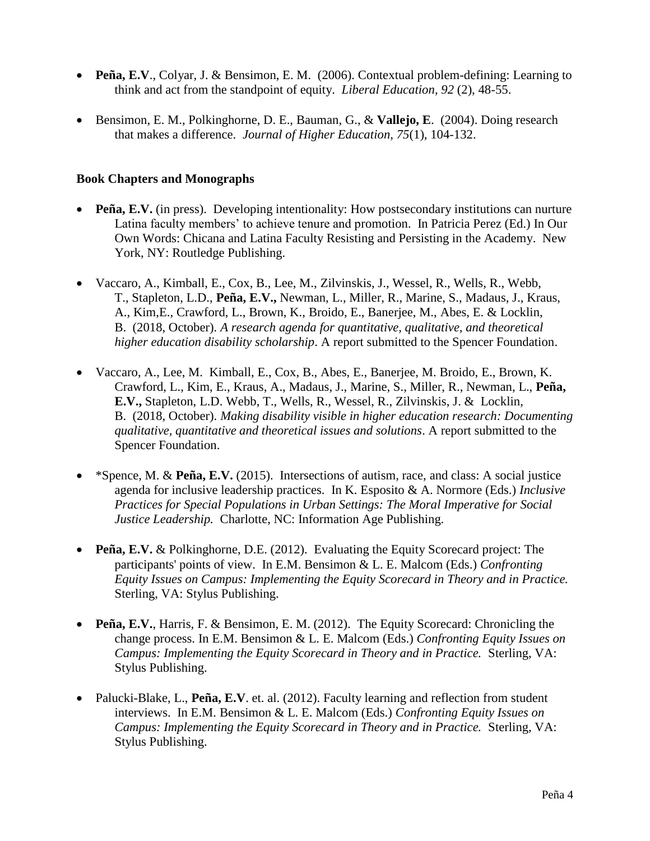- **Peña, E.V**., Colyar, J. & Bensimon, E. M. (2006). Contextual problem-defining: Learning to think and act from the standpoint of equity. *Liberal Education, 92* (2), 48-55.
- Bensimon, E. M., Polkinghorne, D. E., Bauman, G., & **Vallejo, E**. (2004). Doing research that makes a difference. *Journal of Higher Education, 75*(1), 104-132.

#### **Book Chapters and Monographs**

- **Peña, E.V.** (in press). Developing intentionality: How postsecondary institutions can nurture Latina faculty members' to achieve tenure and promotion. In Patricia Perez (Ed.) In Our Own Words: Chicana and Latina Faculty Resisting and Persisting in the Academy. New York, NY: Routledge Publishing.
- Vaccaro, A., Kimball, E., Cox, B., Lee, M., Zilvinskis, J., Wessel, R., Wells, R., Webb, T., Stapleton, L.D., **Peña, E.V.,** Newman, L., Miller, R., Marine, S., Madaus, J., Kraus, A., Kim,E., Crawford, L., Brown, K., Broido, E., Banerjee, M., Abes, E. & Locklin, B. (2018, October). *A research agenda for quantitative, qualitative, and theoretical higher education disability scholarship*. A report submitted to the Spencer Foundation.
- Vaccaro, A., Lee, M. Kimball, E., Cox, B., Abes, E., Banerjee, M. Broido, E., Brown, K. Crawford, L., Kim, E., Kraus, A., Madaus, J., Marine, S., Miller, R., Newman, L., **Peña, E.V.,** Stapleton, L.D. Webb, T., Wells, R., Wessel, R., Zilvinskis, J. & Locklin, B. (2018, October). *Making disability visible in higher education research: Documenting qualitative, quantitative and theoretical issues and solutions*. A report submitted to the Spencer Foundation.
- \*Spence, M. & **Peña, E.V.** (2015). Intersections of autism, race, and class: A social justice agenda for inclusive leadership practices. In K. Esposito & A. Normore (Eds.) *Inclusive Practices for Special Populations in Urban Settings: The Moral Imperative for Social Justice Leadership.* Charlotte, NC: Information Age Publishing.
- **Peña, E.V.** & Polkinghorne, D.E. (2012). Evaluating the Equity Scorecard project: The participants' points of view. In E.M. Bensimon & L. E. Malcom (Eds.) *Confronting Equity Issues on Campus: Implementing the Equity Scorecard in Theory and in Practice.* Sterling, VA: Stylus Publishing.
- **Peña, E.V.**, Harris, F. & Bensimon, E. M. (2012). The Equity Scorecard: Chronicling the change process. In E.M. Bensimon & L. E. Malcom (Eds.) *Confronting Equity Issues on Campus: Implementing the Equity Scorecard in Theory and in Practice.* Sterling, VA: Stylus Publishing.
- Palucki-Blake, L., **Peña, E.V**. et. al. (2012). Faculty learning and reflection from student interviews. In E.M. Bensimon & L. E. Malcom (Eds.) *Confronting Equity Issues on Campus: Implementing the Equity Scorecard in Theory and in Practice.* Sterling, VA: Stylus Publishing.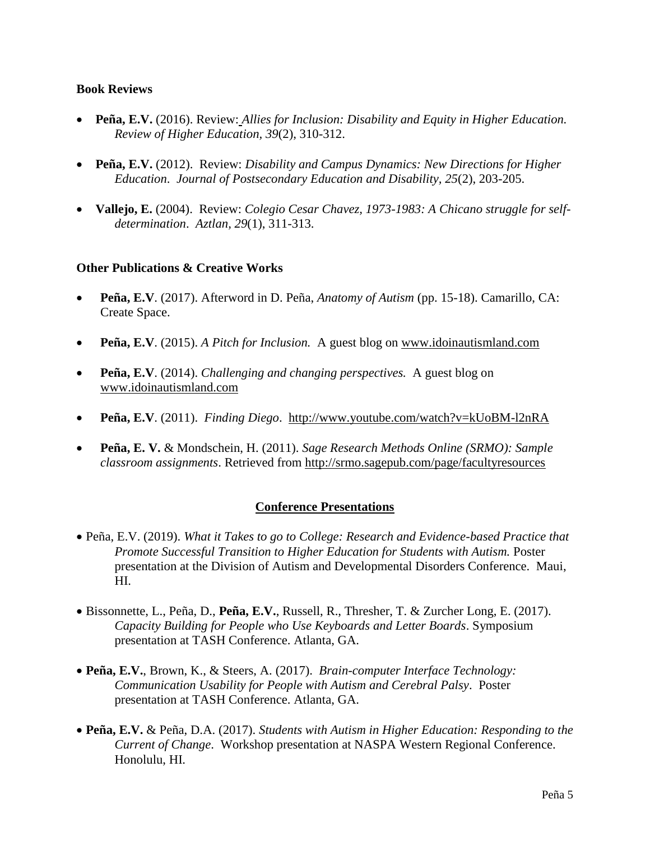#### **Book Reviews**

- **Peña, E.V.** (2016). Review: *Allies for Inclusion: Disability and Equity in Higher Education. Review of Higher Education, 39*(2), 310-312.
- **Peña, E.V.** (2012). Review: *Disability and Campus Dynamics: New Directions for Higher Education*. *Journal of Postsecondary Education and Disability, 25*(2), 203-205.
- **Vallejo, E.** (2004). Review: *Colegio Cesar Chavez, 1973-1983: A Chicano struggle for selfdetermination*. *Aztlan, 29*(1), 311-313.

#### **Other Publications & Creative Works**

- **Peña, E.V**. (2017). Afterword in D. Peña, *Anatomy of Autism* (pp. 15-18). Camarillo, CA: Create Space.
- **Peña, E.V**. (2015). *A Pitch for Inclusion.* A guest blog on [www.idoinautismland.com](http://www.idoinautismland.com/)
- **Peña, E.V**. (2014). *Challenging and changing perspectives.* A guest blog on [www.idoinautismland.com](http://www.idoinautismland.com/)
- **Peña, E.V**. (2011). *Finding Diego*. <http://www.youtube.com/watch?v=kUoBM-l2nRA>
- **Peña, E. V.** & Mondschein, H. (2011). *Sage Research Methods Online (SRMO): Sample classroom assignments*. Retrieved from<http://srmo.sagepub.com/page/facultyresources>

#### **Conference Presentations**

- Peña, E.V. (2019). *What it Takes to go to College: Research and Evidence-based Practice that Promote Successful Transition to Higher Education for Students with Autism.* Poster presentation at the Division of Autism and Developmental Disorders Conference. Maui, HI.
- Bissonnette, L., Peña, D., **Peña, E.V.**, Russell, R., Thresher, T. & Zurcher Long, E. (2017). *Capacity Building for People who Use Keyboards and Letter Boards*. Symposium presentation at TASH Conference. Atlanta, GA.
- **Peña, E.V.**, Brown, K., & Steers, A. (2017). *Brain-computer Interface Technology: Communication Usability for People with Autism and Cerebral Palsy*. Poster presentation at TASH Conference. Atlanta, GA.
- **Peña, E.V.** & Peña, D.A. (2017). *Students with Autism in Higher Education: Responding to the Current of Change*. Workshop presentation at NASPA Western Regional Conference. Honolulu, HI.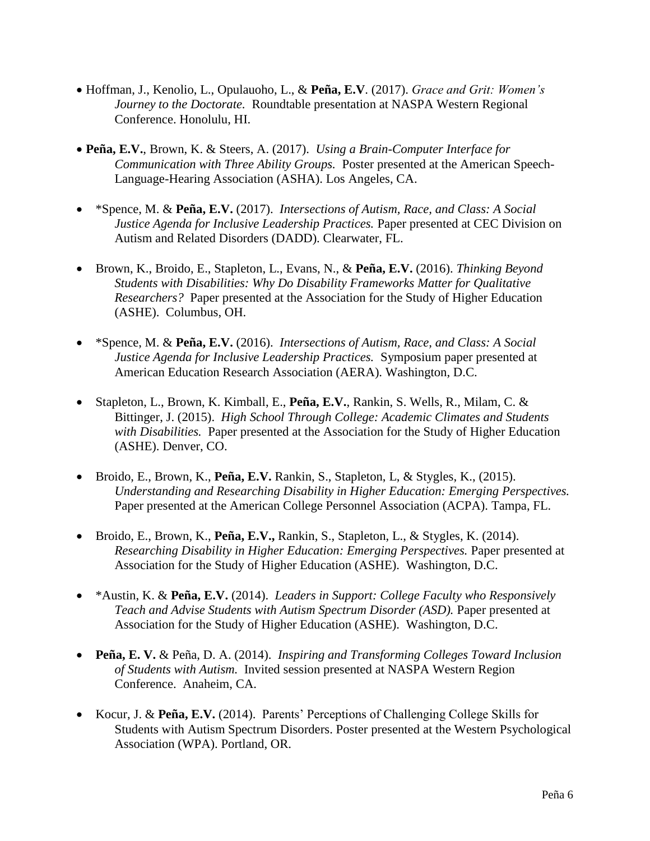- Hoffman, J., Kenolio, L., Opulauoho, L., & **Peña, E.V**. (2017). *Grace and Grit: Women's Journey to the Doctorate.* Roundtable presentation at NASPA Western Regional Conference. Honolulu, HI.
- **Peña, E.V.**, Brown, K. & Steers, A. (2017). *Using a Brain-Computer Interface for Communication with Three Ability Groups.* Poster presented at the American Speech-Language-Hearing Association (ASHA). Los Angeles, CA.
- \*Spence, M. & **Peña, E.V.** (2017). *Intersections of Autism, Race, and Class: A Social Justice Agenda for Inclusive Leadership Practices.* Paper presented at CEC Division on Autism and Related Disorders (DADD). Clearwater, FL.
- Brown, K., Broido, E., Stapleton, L., Evans, N., & **Peña, E.V.** (2016). *Thinking Beyond Students with Disabilities: Why Do Disability Frameworks Matter for Qualitative Researchers?* Paper presented at the Association for the Study of Higher Education (ASHE). Columbus, OH.
- \*Spence, M. & **Peña, E.V.** (2016). *Intersections of Autism, Race, and Class: A Social Justice Agenda for Inclusive Leadership Practices.* Symposium paper presented at American Education Research Association (AERA). Washington, D.C.
- Stapleton, L., Brown, K. Kimball, E., **Peña, E.V.**, Rankin, S. Wells, R., Milam, C. & Bittinger, J. (2015). *High School Through College: Academic Climates and Students with Disabilities.* Paper presented at the Association for the Study of Higher Education (ASHE). Denver, CO.
- Broido, E., Brown, K., **Peña, E.V.** Rankin, S., Stapleton, L, & Stygles, K., (2015). *Understanding and Researching Disability in Higher Education: Emerging Perspectives.* Paper presented at the American College Personnel Association (ACPA). Tampa, FL.
- Broido, E., Brown, K., **Peña, E.V.,** Rankin, S., Stapleton, L., & Stygles, K. (2014). *Researching Disability in Higher Education: Emerging Perspectives.* Paper presented at Association for the Study of Higher Education (ASHE). Washington, D.C.
- \*Austin, K. & **Peña, E.V.** (2014). *Leaders in Support: College Faculty who Responsively Teach and Advise Students with Autism Spectrum Disorder (ASD).* Paper presented at Association for the Study of Higher Education (ASHE). Washington, D.C.
- **Peña, E. V.** & Peña, D. A. (2014). *Inspiring and Transforming Colleges Toward Inclusion of Students with Autism.*Invited session presented at NASPA Western Region Conference. Anaheim, CA.
- Kocur, J. & **Peña, E.V.** (2014). Parents' Perceptions of Challenging College Skills for Students with Autism Spectrum Disorders. Poster presented at the Western Psychological Association (WPA). Portland, OR.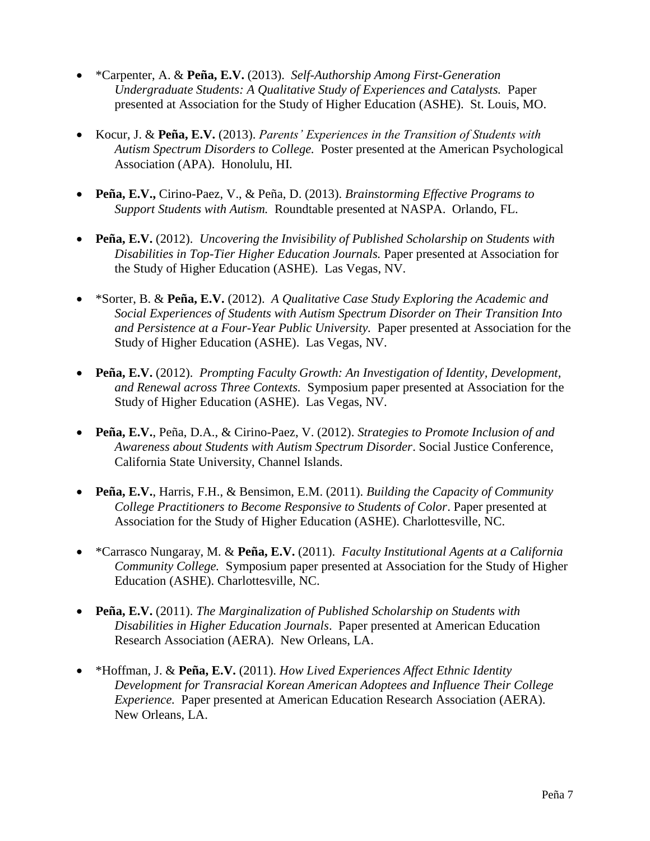- \*Carpenter, A. & **Peña, E.V.** (2013). *Self-Authorship Among First-Generation Undergraduate Students: A Qualitative Study of Experiences and Catalysts.* Paper presented at Association for the Study of Higher Education (ASHE). St. Louis, MO.
- Kocur, J. & **Peña, E.V.** (2013). *Parents' Experiences in the Transition of Students with Autism Spectrum Disorders to College.* Poster presented at the American Psychological Association (APA). Honolulu, HI.
- **Peña, E.V.,** Cirino-Paez, V., & Peña, D. (2013). *Brainstorming Effective Programs to Support Students with Autism.* Roundtable presented at NASPA. Orlando, FL.
- **Peña, E.V.** (2012). *Uncovering the Invisibility of Published Scholarship on Students with Disabilities in Top-Tier Higher Education Journals.* Paper presented at Association for the Study of Higher Education (ASHE). Las Vegas, NV.
- \*Sorter, B. & **Peña, E.V.** (2012). *A Qualitative Case Study Exploring the Academic and Social Experiences of Students with Autism Spectrum Disorder on Their Transition Into and Persistence at a Four-Year Public University.* Paper presented at Association for the Study of Higher Education (ASHE). Las Vegas, NV.
- **Peña, E.V.** (2012). *Prompting Faculty Growth: An Investigation of Identity, Development, and Renewal across Three Contexts.* Symposium paper presented at Association for the Study of Higher Education (ASHE). Las Vegas, NV.
- **Peña, E.V.**, Peña, D.A., & Cirino-Paez, V. (2012). *Strategies to Promote Inclusion of and Awareness about Students with Autism Spectrum Disorder*. Social Justice Conference, California State University, Channel Islands.
- **Peña, E.V.**, Harris, F.H., & Bensimon, E.M. (2011). *Building the Capacity of Community College Practitioners to Become Responsive to Students of Color*. Paper presented at Association for the Study of Higher Education (ASHE). Charlottesville, NC.
- \*Carrasco Nungaray, M. & **Peña, E.V.** (2011). *Faculty Institutional Agents at a California Community College.* Symposium paper presented at Association for the Study of Higher Education (ASHE). Charlottesville, NC.
- **Peña, E.V.** (2011). *The Marginalization of Published Scholarship on Students with Disabilities in Higher Education Journals*. Paper presented at American Education Research Association (AERA). New Orleans, LA.
- \*Hoffman, J. & **Peña, E.V.** (2011). *How Lived Experiences Affect Ethnic Identity Development for Transracial Korean American Adoptees and Influence Their College Experience.* Paper presented at American Education Research Association (AERA). New Orleans, LA.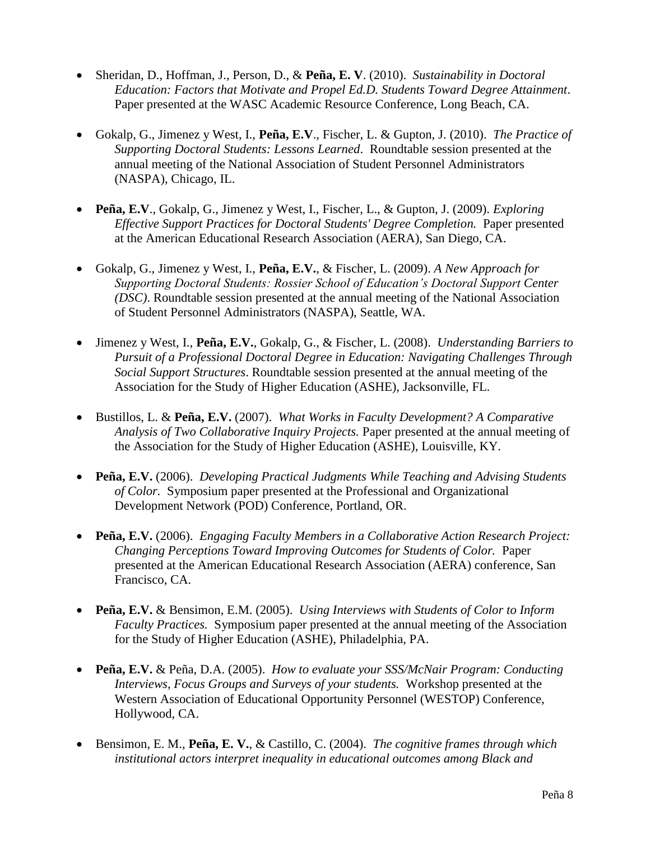- Sheridan, D., Hoffman, J., Person, D., & **Peña, E. V**. (2010). *Sustainability in Doctoral Education: Factors that Motivate and Propel Ed.D. Students Toward Degree Attainment*. Paper presented at the WASC Academic Resource Conference, Long Beach, CA.
- Gokalp, G., Jimenez y West, I., **Peña, E.V**., Fischer, L. & Gupton, J. (2010). *The Practice of Supporting Doctoral Students: Lessons Learned*. Roundtable session presented at the annual meeting of the National Association of Student Personnel Administrators (NASPA), Chicago, IL.
- **Peña, E.V**., Gokalp, G., Jimenez y West, I., Fischer, L., & Gupton, J. (2009). *Exploring Effective Support Practices for Doctoral Students' Degree Completion.* Paper presented at the American Educational Research Association (AERA), San Diego, CA.
- Gokalp, G., Jimenez y West, I., **Peña, E.V.**, & Fischer, L. (2009). *A New Approach for Supporting Doctoral Students: Rossier School of Education's Doctoral Support Center (DSC)*. Roundtable session presented at the annual meeting of the National Association of Student Personnel Administrators (NASPA), Seattle, WA.
- Jimenez y West, I., **Peña, E.V.**, Gokalp, G., & Fischer, L. (2008).*Understanding Barriers to Pursuit of a Professional Doctoral Degree in Education: Navigating Challenges Through Social Support Structures*. Roundtable session presented at the annual meeting of the Association for the Study of Higher Education (ASHE), Jacksonville, FL.
- Bustillos, L. & **Peña, E.V.** (2007). *What Works in Faculty Development? A Comparative Analysis of Two Collaborative Inquiry Projects.* Paper presented at the annual meeting of the Association for the Study of Higher Education (ASHE), Louisville, KY.
- **Peña, E.V.** (2006). *Developing Practical Judgments While Teaching and Advising Students of Color.* Symposium paper presented at the Professional and Organizational Development Network (POD) Conference, Portland, OR.
- **Peña, E.V.** (2006). *Engaging Faculty Members in a Collaborative Action Research Project: Changing Perceptions Toward Improving Outcomes for Students of Color.* Paper presented at the American Educational Research Association (AERA) conference, San Francisco, CA.
- **Peña, E.V.** & Bensimon, E.M. (2005). *Using Interviews with Students of Color to Inform Faculty Practices.* Symposium paper presented at the annual meeting of the Association for the Study of Higher Education (ASHE), Philadelphia, PA.
- **Peña, E.V.** & Peña, D.A. (2005). *How to evaluate your SSS/McNair Program: Conducting Interviews, Focus Groups and Surveys of your students.* Workshop presented at the Western Association of Educational Opportunity Personnel (WESTOP) Conference, Hollywood, CA.
- Bensimon, E. M., **Peña, E. V.**, & Castillo, C. (2004). *The cognitive frames through which institutional actors interpret inequality in educational outcomes among Black and*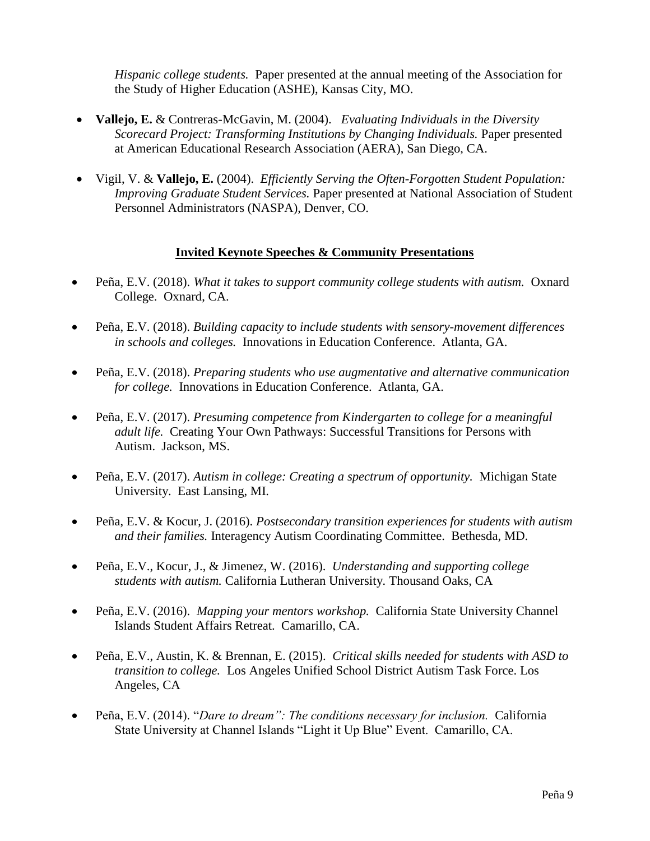*Hispanic college students.* Paper presented at the annual meeting of the Association for the Study of Higher Education (ASHE), Kansas City, MO.

- **Vallejo, E.** & Contreras-McGavin, M. (2004). *Evaluating Individuals in the Diversity Scorecard Project: Transforming Institutions by Changing Individuals.* Paper presented at American Educational Research Association (AERA), San Diego, CA.
- Vigil, V. & **Vallejo, E.** (2004). *Efficiently Serving the Often-Forgotten Student Population: Improving Graduate Student Services.* Paper presented at National Association of Student Personnel Administrators (NASPA), Denver, CO.

#### **Invited Keynote Speeches & Community Presentations**

- Peña, E.V. (2018). *What it takes to support community college students with autism.* Oxnard College. Oxnard, CA.
- Peña, E.V. (2018). *Building capacity to include students with sensory-movement differences in schools and colleges.* Innovations in Education Conference. Atlanta, GA.
- Peña, E.V. (2018). *Preparing students who use augmentative and alternative communication for college.* Innovations in Education Conference. Atlanta, GA.
- Peña, E.V. (2017). *Presuming competence from Kindergarten to college for a meaningful adult life.* Creating Your Own Pathways: Successful Transitions for Persons with Autism. Jackson, MS.
- Peña, E.V. (2017). *Autism in college: Creating a spectrum of opportunity.* Michigan State University. East Lansing, MI.
- Peña, E.V. & Kocur, J. (2016). *Postsecondary transition experiences for students with autism and their families.* Interagency Autism Coordinating Committee. Bethesda, MD.
- Peña, E.V., Kocur, J., & Jimenez, W. (2016). *Understanding and supporting college students with autism.* California Lutheran University*.* Thousand Oaks, CA
- Peña, E.V. (2016). *Mapping your mentors workshop.* California State University Channel Islands Student Affairs Retreat. Camarillo, CA.
- Peña, E.V., Austin, K. & Brennan, E. (2015). *Critical skills needed for students with ASD to transition to college.* Los Angeles Unified School District Autism Task Force. Los Angeles, CA
- Peña, E.V. (2014). "*Dare to dream": The conditions necessary for inclusion.* California State University at Channel Islands "Light it Up Blue" Event. Camarillo, CA.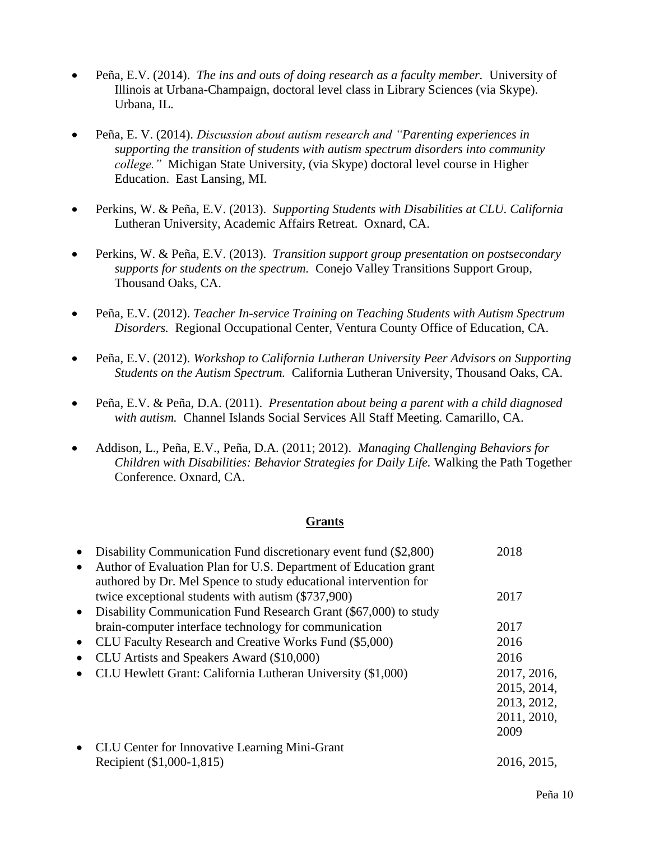- Peña, E.V. (2014). *The ins and outs of doing research as a faculty member.* University of Illinois at Urbana-Champaign, doctoral level class in Library Sciences (via Skype). Urbana, IL.
- Peña, E. V. (2014). *Discussion about autism research and "Parenting experiences in supporting the transition of students with autism spectrum disorders into community college."* Michigan State University, (via Skype) doctoral level course in Higher Education. East Lansing, MI.
- Perkins, W. & Peña, E.V. (2013). *Supporting Students with Disabilities at CLU. California* Lutheran University, Academic Affairs Retreat. Oxnard, CA.
- Perkins, W. & Peña, E.V. (2013). *Transition support group presentation on postsecondary supports for students on the spectrum.* Conejo Valley Transitions Support Group, Thousand Oaks, CA.
- Peña, E.V. (2012). *Teacher In-service Training on Teaching Students with Autism Spectrum Disorders.* Regional Occupational Center, Ventura County Office of Education, CA.
- Peña, E.V. (2012). *Workshop to California Lutheran University Peer Advisors on Supporting Students on the Autism Spectrum.* California Lutheran University, Thousand Oaks, CA.
- Peña, E.V. & Peña, D.A. (2011). *Presentation about being a parent with a child diagnosed with autism.* Channel Islands Social Services All Staff Meeting. Camarillo, CA.
- Addison, L., Peña, E.V., Peña, D.A. (2011; 2012). *Managing Challenging Behaviors for Children with Disabilities: Behavior Strategies for Daily Life.* Walking the Path Together Conference. Oxnard, CA.

#### **Grants**

|           | Disability Communication Fund discretionary event fund (\$2,800)                                                                     | 2018        |
|-----------|--------------------------------------------------------------------------------------------------------------------------------------|-------------|
| $\bullet$ | Author of Evaluation Plan for U.S. Department of Education grant<br>authored by Dr. Mel Spence to study educational intervention for |             |
|           | twice exceptional students with autism (\$737,900)                                                                                   | 2017        |
| $\bullet$ | Disability Communication Fund Research Grant (\$67,000) to study                                                                     |             |
|           | brain-computer interface technology for communication                                                                                | 2017        |
| $\bullet$ | CLU Faculty Research and Creative Works Fund (\$5,000)                                                                               | 2016        |
|           | CLU Artists and Speakers Award (\$10,000)                                                                                            | 2016        |
|           | CLU Hewlett Grant: California Lutheran University (\$1,000)                                                                          | 2017, 2016, |
|           |                                                                                                                                      | 2015, 2014, |
|           |                                                                                                                                      | 2013, 2012, |
|           |                                                                                                                                      | 2011, 2010, |
|           |                                                                                                                                      | 2009        |
|           | <b>CLU Center for Innovative Learning Mini-Grant</b>                                                                                 |             |
|           | Recipient (\$1,000-1,815)                                                                                                            | 2016, 2015, |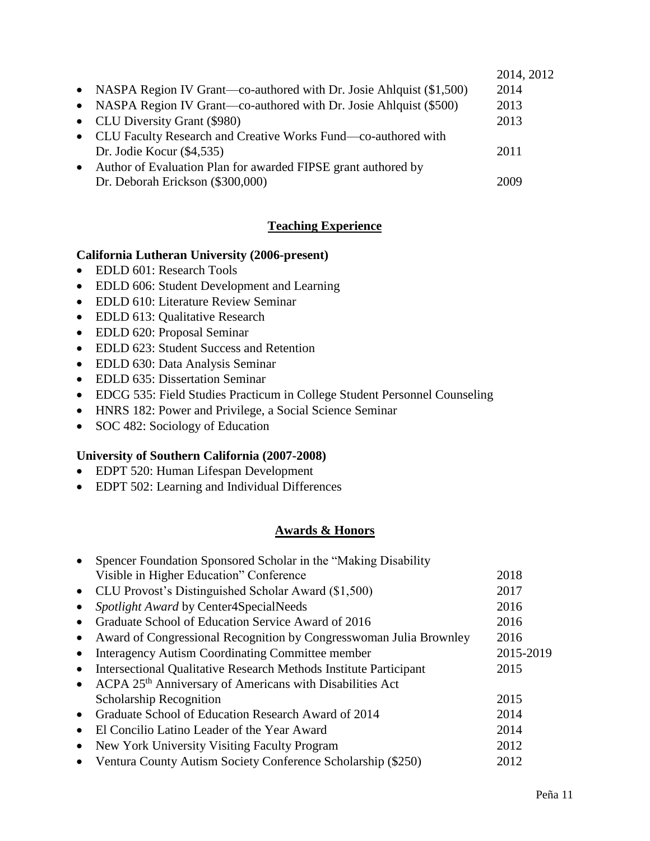|                                                                       | 2014, 2012 |
|-----------------------------------------------------------------------|------------|
| • NASPA Region IV Grant—co-authored with Dr. Josie Ahlquist (\$1,500) | 2014       |
| • NASPA Region IV Grant—co-authored with Dr. Josie Ahlquist (\$500)   | 2013       |
| • CLU Diversity Grant (\$980)                                         | 2013       |
| • CLU Faculty Research and Creative Works Fund—co-authored with       |            |
| Dr. Jodie Kocur $(\$4,535)$                                           | 2011       |
| • Author of Evaluation Plan for awarded FIPSE grant authored by       |            |
| Dr. Deborah Erickson (\$300,000)                                      | 2009       |

# **Teaching Experience**

## **California Lutheran University (2006-present)**

- EDLD 601: Research Tools
- EDLD 606: Student Development and Learning
- EDLD 610: Literature Review Seminar
- EDLD 613: Qualitative Research
- EDLD 620: Proposal Seminar
- EDLD 623: Student Success and Retention
- EDLD 630: Data Analysis Seminar
- EDLD 635: Dissertation Seminar
- EDCG 535: Field Studies Practicum in College Student Personnel Counseling
- HNRS 182: Power and Privilege, a Social Science Seminar
- SOC 482: Sociology of Education

## **University of Southern California (2007-2008)**

- EDPT 520: Human Lifespan Development
- EDPT 502: Learning and Individual Differences

# **Awards & Honors**

|           | Spencer Foundation Sponsored Scholar in the "Making Disability"          |           |
|-----------|--------------------------------------------------------------------------|-----------|
|           | Visible in Higher Education" Conference                                  | 2018      |
|           | CLU Provost's Distinguished Scholar Award (\$1,500)                      | 2017      |
|           | Spotlight Award by Center4SpecialNeeds                                   | 2016      |
|           | Graduate School of Education Service Award of 2016                       | 2016      |
|           | Award of Congressional Recognition by Congresswoman Julia Brownley       | 2016      |
|           | Interagency Autism Coordinating Committee member                         | 2015-2019 |
| $\bullet$ | <b>Intersectional Qualitative Research Methods Institute Participant</b> | 2015      |
| $\bullet$ | ACPA 25 <sup>th</sup> Anniversary of Americans with Disabilities Act     |           |
|           | <b>Scholarship Recognition</b>                                           | 2015      |
|           | Graduate School of Education Research Award of 2014                      | 2014      |
| $\bullet$ | El Concilio Latino Leader of the Year Award                              | 2014      |
| $\bullet$ | New York University Visiting Faculty Program                             | 2012      |
| $\bullet$ | Ventura County Autism Society Conference Scholarship (\$250)             | 2012      |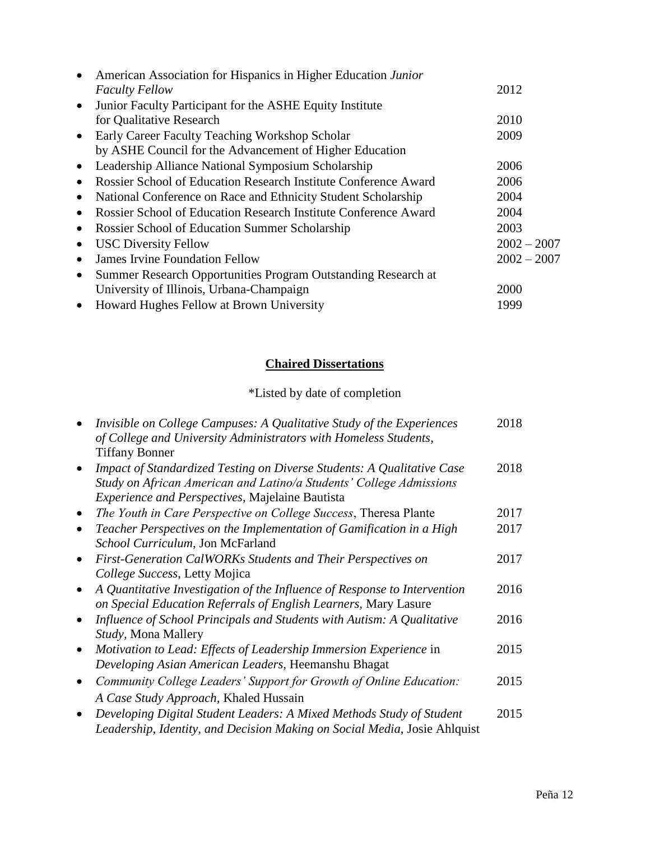| $\bullet$ | American Association for Hispanics in Higher Education Junior   |               |
|-----------|-----------------------------------------------------------------|---------------|
|           | <b>Faculty Fellow</b>                                           | 2012          |
| $\bullet$ | Junior Faculty Participant for the ASHE Equity Institute        |               |
|           | for Qualitative Research                                        | 2010          |
| $\bullet$ | Early Career Faculty Teaching Workshop Scholar                  | 2009          |
|           | by ASHE Council for the Advancement of Higher Education         |               |
| $\bullet$ | Leadership Alliance National Symposium Scholarship              | 2006          |
|           | Rossier School of Education Research Institute Conference Award | 2006          |
| $\bullet$ | National Conference on Race and Ethnicity Student Scholarship   | 2004          |
| $\bullet$ | Rossier School of Education Research Institute Conference Award | 2004          |
|           | Rossier School of Education Summer Scholarship                  | 2003          |
|           | <b>USC Diversity Fellow</b>                                     | $2002 - 2007$ |
|           | <b>James Irvine Foundation Fellow</b>                           | $2002 - 2007$ |
| $\bullet$ | Summer Research Opportunities Program Outstanding Research at   |               |
|           | University of Illinois, Urbana-Champaign                        | 2000          |
| $\bullet$ | Howard Hughes Fellow at Brown University                        | 1999          |

# **Chaired Dissertations**

# \*Listed by date of completion

|           | Invisible on College Campuses: A Qualitative Study of the Experiences<br>of College and University Administrators with Homeless Students,         | 2018 |
|-----------|---------------------------------------------------------------------------------------------------------------------------------------------------|------|
|           | <b>Tiffany Bonner</b>                                                                                                                             |      |
|           | Impact of Standardized Testing on Diverse Students: A Qualitative Case<br>Study on African American and Latino/a Students' College Admissions     | 2018 |
|           | <i>Experience and Perspectives</i> , Majelaine Bautista                                                                                           |      |
|           | The Youth in Care Perspective on College Success, Theresa Plante                                                                                  | 2017 |
|           | Teacher Perspectives on the Implementation of Gamification in a High                                                                              | 2017 |
|           | School Curriculum, Jon McFarland                                                                                                                  |      |
|           | First-Generation CalWORKs Students and Their Perspectives on                                                                                      | 2017 |
|           | College Success, Letty Mojica                                                                                                                     |      |
|           | A Quantitative Investigation of the Influence of Response to Intervention<br>on Special Education Referrals of English Learners, Mary Lasure      | 2016 |
|           | Influence of School Principals and Students with Autism: A Qualitative                                                                            | 2016 |
|           | <i>Study</i> , Mona Mallery                                                                                                                       |      |
| $\bullet$ | Motivation to Lead: Effects of Leadership Immersion Experience in                                                                                 | 2015 |
|           | Developing Asian American Leaders, Heemanshu Bhagat                                                                                               |      |
|           | Community College Leaders' Support for Growth of Online Education:                                                                                | 2015 |
|           | A Case Study Approach, Khaled Hussain                                                                                                             |      |
|           | Developing Digital Student Leaders: A Mixed Methods Study of Student<br>Leadership, Identity, and Decision Making on Social Media, Josie Ahlquist | 2015 |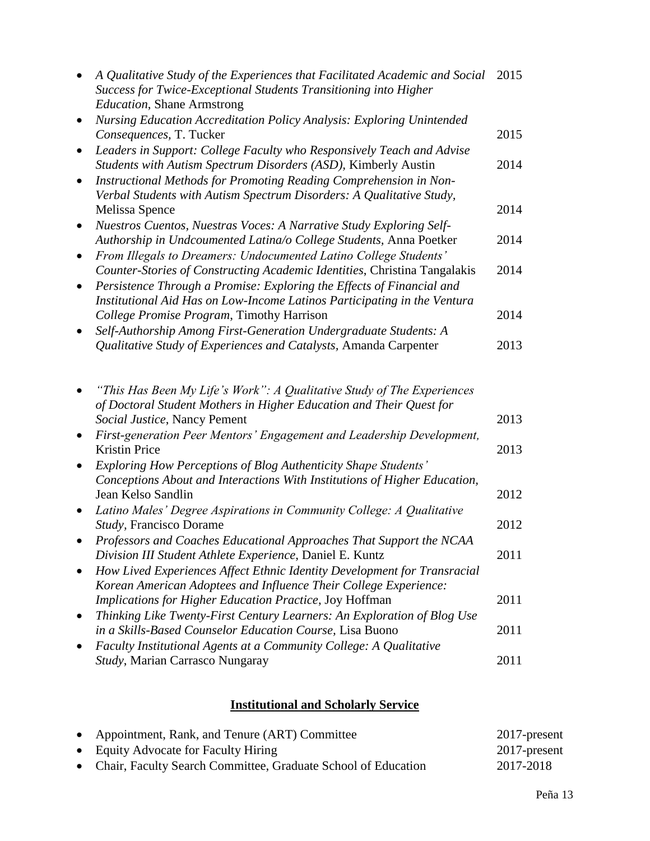|                        | A Qualitative Study of the Experiences that Facilitated Academic and Social<br>Success for Twice-Exceptional Students Transitioning into Higher<br><b>Education</b> , Shane Armstrong                         | 2015 |
|------------------------|---------------------------------------------------------------------------------------------------------------------------------------------------------------------------------------------------------------|------|
| $\bullet$              | <b>Nursing Education Accreditation Policy Analysis: Exploring Unintended</b><br>Consequences, T. Tucker                                                                                                       | 2015 |
| ٠<br>$\bullet$         | Leaders in Support: College Faculty who Responsively Teach and Advise<br>Students with Autism Spectrum Disorders (ASD), Kimberly Austin<br>Instructional Methods for Promoting Reading Comprehension in Non-  | 2014 |
|                        | Verbal Students with Autism Spectrum Disorders: A Qualitative Study,<br>Melissa Spence                                                                                                                        | 2014 |
| $\bullet$<br>$\bullet$ | Nuestros Cuentos, Nuestras Voces: A Narrative Study Exploring Self-<br>Authorship in Undcoumented Latina/o College Students, Anna Poetker<br>From Illegals to Dreamers: Undocumented Latino College Students' | 2014 |
| $\bullet$              | Counter-Stories of Constructing Academic Identities, Christina Tangalakis<br>Persistence Through a Promise: Exploring the Effects of Financial and                                                            | 2014 |
|                        | Institutional Aid Has on Low-Income Latinos Participating in the Ventura<br>College Promise Program, Timothy Harrison                                                                                         | 2014 |
|                        | Self-Authorship Among First-Generation Undergraduate Students: A<br>Qualitative Study of Experiences and Catalysts, Amanda Carpenter                                                                          | 2013 |
|                        | "This Has Been My Life's Work": A Qualitative Study of The Experiences                                                                                                                                        |      |
|                        | of Doctoral Student Mothers in Higher Education and Their Quest for<br>Social Justice, Nancy Pement                                                                                                           | 2013 |
| $\bullet$              | First-generation Peer Mentors' Engagement and Leadership Development,<br><b>Kristin Price</b>                                                                                                                 | 2013 |
| $\bullet$              | <b>Exploring How Perceptions of Blog Authenticity Shape Students'</b><br>Conceptions About and Interactions With Institutions of Higher Education,                                                            |      |
| $\bullet$              | Jean Kelso Sandlin<br>Latino Males' Degree Aspirations in Community College: A Qualitative                                                                                                                    | 2012 |
|                        | Study, Francisco Dorame<br>Professors and Coaches Educational Approaches That Support the NCAA                                                                                                                | 2012 |
|                        | Division III Student Athlete Experience, Daniel E. Kuntz<br>How Lived Experiences Affect Ethnic Identity Development for Transracial                                                                          | 2011 |
|                        | Korean American Adoptees and Influence Their College Experience:<br>Implications for Higher Education Practice, Joy Hoffman                                                                                   | 2011 |
|                        | Thinking Like Twenty-First Century Learners: An Exploration of Blog Use<br>in a Skills-Based Counselor Education Course, Lisa Buono                                                                           | 2011 |
|                        | Faculty Institutional Agents at a Community College: A Qualitative<br>Study, Marian Carrasco Nungaray                                                                                                         | 2011 |
|                        |                                                                                                                                                                                                               |      |

# **Institutional and Scholarly Service**

| • Appointment, Rank, and Tenure (ART) Committee                 | 2017-present |
|-----------------------------------------------------------------|--------------|
| • Equity Advocate for Faculty Hiring                            | 2017-present |
| • Chair, Faculty Search Committee, Graduate School of Education | 2017-2018    |